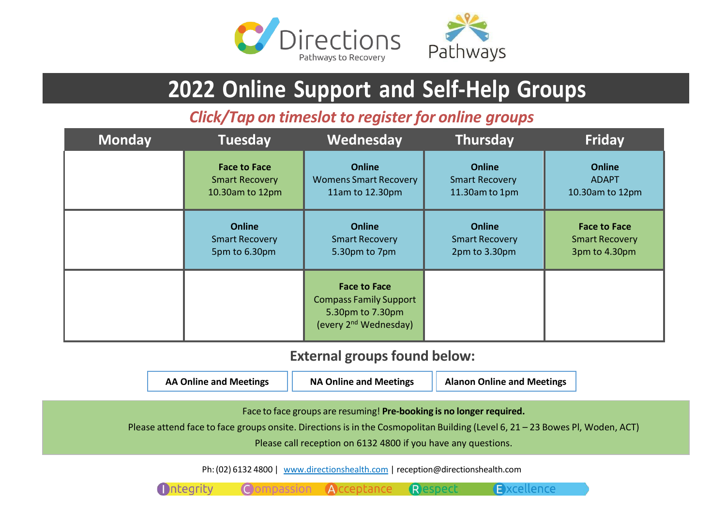

# **2022 Online Support and Self-Help Groups**

*Click/Tap on timeslot to register for online groups*

| <b>Monday</b> | <b>Tuesday</b>        | Wednesday                                                                                                     | <b>Thursday</b>       | <b>Friday</b>         |
|---------------|-----------------------|---------------------------------------------------------------------------------------------------------------|-----------------------|-----------------------|
|               | <b>Face to Face</b>   | <b>Online</b>                                                                                                 | <b>Online</b>         | <b>Online</b>         |
|               | <b>Smart Recovery</b> | <b>Womens Smart Recovery</b>                                                                                  | <b>Smart Recovery</b> | <b>ADAPT</b>          |
|               | 10.30am to 12pm       | 11am to 12.30pm                                                                                               | 11.30am to 1pm        | 10.30am to 12pm       |
|               | <b>Online</b>         | <b>Online</b>                                                                                                 | <b>Online</b>         | <b>Face to Face</b>   |
|               | <b>Smart Recovery</b> | <b>Smart Recovery</b>                                                                                         | <b>Smart Recovery</b> | <b>Smart Recovery</b> |
|               | 5pm to 6.30pm         | 5.30pm to 7pm                                                                                                 | 2pm to 3.30pm         | 3pm to 4.30pm         |
|               |                       | <b>Face to Face</b><br><b>Compass Family Support</b><br>5.30pm to 7.30pm<br>(every 2 <sup>nd</sup> Wednesday) |                       |                       |

# **External groups found below:**

| <b>AA Online and Meetings</b> | <b>NA Online and Meetings</b> | <b>Alanon Online and Meetings</b> |
|-------------------------------|-------------------------------|-----------------------------------|
|-------------------------------|-------------------------------|-----------------------------------|

Face to face groups are resuming! **Pre-booking is no longer required.**

Please attend face to face groups onsite. Directions is in the Cosmopolitan Building (Level 6, 21 – 23 Bowes Pl, Woden, ACT)

Please call reception on 6132 4800 if you have any questions.

Respect

Excellence

Ph:(02) 6132 4800 | [www.directionshealth.com](http://www.directionshealth.com/) | [reception@directionshealth.com](mailto:reception@directionshealth.com)

Compassion Acceptance

**M**ntegrity